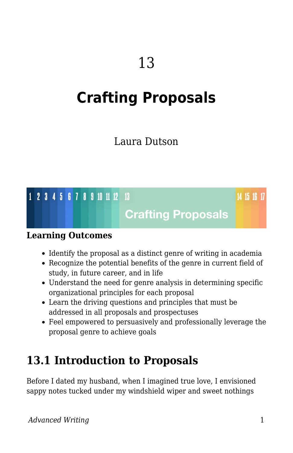# **Crafting Proposals**

### Laura Dutson

### 1 2 3 4 5 6 7 8 9 10 11 12 13

14 15 16 17

### **Crafting Proposals**

#### **Learning Outcomes**

- Identify the proposal as a distinct genre of writing in academia
- Recognize the potential benefits of the genre in current field of study, in future career, and in life
- Understand the need for genre analysis in determining specific organizational principles for each proposal
- Learn the driving questions and principles that must be addressed in all proposals and prospectuses
- Feel empowered to persuasively and professionally leverage the proposal genre to achieve goals

### **13.1 Introduction to Proposals**

Before I dated my husband, when I imagined true love, I envisioned sappy notes tucked under my windshield wiper and sweet nothings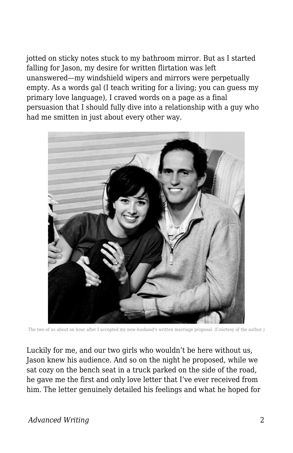jotted on sticky notes stuck to my bathroom mirror. But as I started falling for Jason, my desire for written flirtation was left unanswered—my windshield wipers and mirrors were perpetually empty. As a words gal (I teach writing for a living; you can guess my primary love language), I craved words on a page as a final persuasion that I should fully dive into a relationship with a guy who had me smitten in just about every other way.



The two of us about an hour after I accepted my now-husband's written marriage proposal. (Courtesy of the author.)

Luckily for me, and our two girls who wouldn't be here without us, Jason knew his audience. And so on the night he proposed, while we sat cozy on the bench seat in a truck parked on the side of the road, he gave me the first and only love letter that I've ever received from him. The letter genuinely detailed his feelings and what he hoped for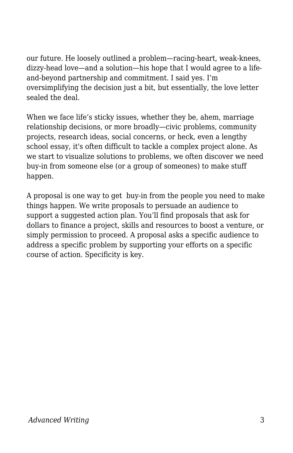our future. He loosely outlined a problem—racing-heart, weak-knees, dizzy-head love—and a solution—his hope that I would agree to a lifeand-beyond partnership and commitment. I said yes. I'm oversimplifying the decision just a bit, but essentially, the love letter sealed the deal.

When we face life's sticky issues, whether they be, ahem, marriage relationship decisions, or more broadly—civic problems, community projects, research ideas, social concerns, or heck, even a lengthy school essay, it's often difficult to tackle a complex project alone. As we start to visualize solutions to problems, we often discover we need buy-in from someone else (or a group of someones) to make stuff happen.

A proposal is one way to get buy-in from the people you need to make things happen. We write proposals to persuade an audience to support a suggested action plan. You'll find proposals that ask for dollars to finance a project, skills and resources to boost a venture, or simply permission to proceed. A proposal asks a specific audience to address a specific problem by supporting your efforts on a specific course of action. Specificity is key.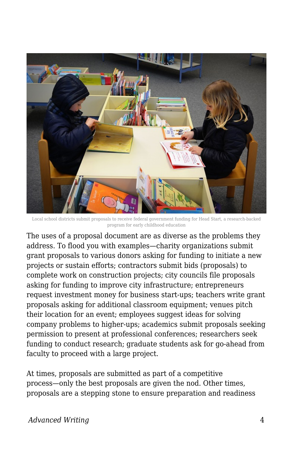

Local school districts submit proposals to receive federal government funding for Head Start, a research-backed program for early childhood education

The uses of a proposal document are as diverse as the problems they address. To flood you with examples—charity organizations submit grant proposals to various donors asking for funding to initiate a new projects or sustain efforts; contractors submit bids (proposals) to complete work on construction projects; city councils file proposals asking for funding to improve city infrastructure; entrepreneurs request investment money for business start-ups; teachers write grant proposals asking for additional classroom equipment; venues pitch their location for an event; employees suggest ideas for solving company problems to higher-ups; academics submit proposals seeking permission to present at professional conferences; researchers seek funding to conduct research; graduate students ask for go-ahead from faculty to proceed with a large project.

At times, proposals are submitted as part of a competitive process—only the best proposals are given the nod. Other times, proposals are a stepping stone to ensure preparation and readiness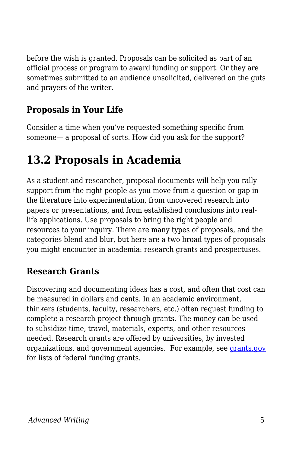before the wish is granted. Proposals can be solicited as part of an official process or program to award funding or support. Or they are sometimes submitted to an audience unsolicited, delivered on the guts and prayers of the writer.

#### **Proposals in Your Life**

Consider a time when you've requested something specific from someone— a proposal of sorts. How did you ask for the support?

### **13.2 Proposals in Academia**

As a student and researcher, proposal documents will help you rally support from the right people as you move from a question or gap in the literature into experimentation, from uncovered research into papers or presentations, and from established conclusions into reallife applications. Use proposals to bring the right people and resources to your inquiry. There are many types of proposals, and the categories blend and blur, but here are a two broad types of proposals you might encounter in academia: research grants and prospectuses.

#### **Research Grants**

Discovering and documenting ideas has a cost, and often that cost can be measured in dollars and cents. In an academic environment, thinkers (students, faculty, researchers, etc.) often request funding to complete a research project through grants. The money can be used to subsidize time, travel, materials, experts, and other resources needed. Research grants are offered by universities, by invested organizations, and government agencies. For example, see [grants.gov](http://www.grants.gov/) for lists of federal funding grants.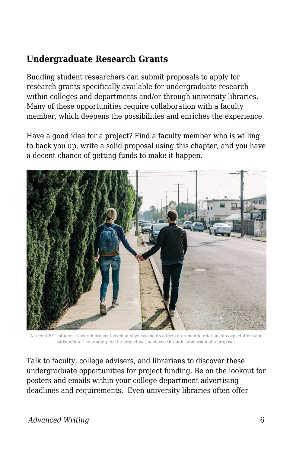#### **Undergraduate Research Grants**

Budding student researchers can submit proposals to apply for research grants specifically available for undergraduate research within colleges and departments and/or through university libraries. Many of these opportunities require collaboration with a faculty member, which deepens the possibilities and enriches the experience.

Have a good idea for a project? Find a faculty member who is willing to back you up, write a solid proposal using this chapter, and you have a decent chance of getting funds to make it happen.



A recent BYU student research project looked at shyness and its effects on romantic relationship expectations and satisfaction. The funding for the project was achieved through submission of a proposal.

Talk to faculty, college advisers, and librarians to discover these undergraduate opportunities for project funding. Be on the lookout for posters and emails within your college department advertising deadlines and requirements. Even university libraries often offer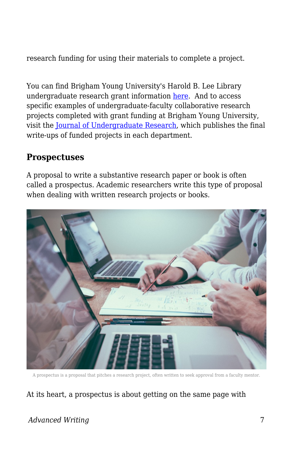research funding for using their materials to complete a project.

You can find Brigham Young University's Harold B. Lee Library undergraduate research grant information [here.](https://lib.byu.edu/services/student-research-grants/) And to access specific examples of undergraduate-faculty collaborative research projects completed with grant funding at Brigham Young University, visit the [Journal of Undergraduate Research,](http://jur.byu.edu/) which publishes the final write-ups of funded projects in each department.

#### **Prospectuses**

A proposal to write a substantive research paper or book is often called a prospectus. Academic researchers write this type of proposal when dealing with written research projects or books.



A prospectus is a proposal that pitches a research project, often written to seek approval from a faculty mentor.

#### At its heart, a prospectus is about getting on the same page with

#### *Advanced Writing* 7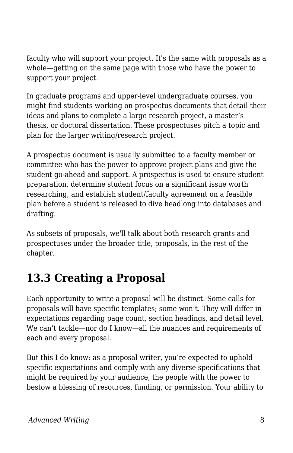faculty who will support your project. It's the same with proposals as a whole—getting on the same page with those who have the power to support your project.

In graduate programs and upper-level undergraduate courses, you might find students working on prospectus documents that detail their ideas and plans to complete a large research project, a master's thesis, or doctoral dissertation. These prospectuses pitch a topic and plan for the larger writing/research project.

A prospectus document is usually submitted to a faculty member or committee who has the power to approve project plans and give the student go-ahead and support. A prospectus is used to ensure student preparation, determine student focus on a significant issue worth researching, and establish student/faculty agreement on a feasible plan before a student is released to dive headlong into databases and drafting.

As subsets of proposals, we'll talk about both research grants and prospectuses under the broader title, proposals, in the rest of the chapter.

## **13.3 Creating a Proposal**

Each opportunity to write a proposal will be distinct. Some calls for proposals will have specific templates; some won't. They will differ in expectations regarding page count, section headings, and detail level. We can't tackle—nor do I know—all the nuances and requirements of each and every proposal.

But this I do know: as a proposal writer, you're expected to uphold specific expectations and comply with any diverse specifications that might be required by your audience, the people with the power to bestow a blessing of resources, funding, or permission. Your ability to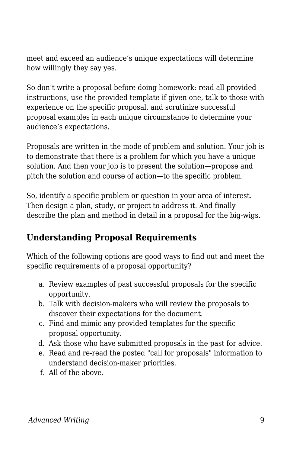meet and exceed an audience's unique expectations will determine how willingly they say yes.

So don't write a proposal before doing homework: read all provided instructions, use the provided template if given one, talk to those with experience on the specific proposal, and scrutinize successful proposal examples in each unique circumstance to determine your audience's expectations.

Proposals are written in the mode of problem and solution. Your job is to demonstrate that there is a problem for which you have a unique solution. And then your job is to present the solution—propose and pitch the solution and course of action—to the specific problem.

So, identify a specific problem or question in your area of interest. Then design a plan, study, or project to address it. And finally describe the plan and method in detail in a proposal for the big-wigs.

#### **Understanding Proposal Requirements**

Which of the following options are good ways to find out and meet the specific requirements of a proposal opportunity?

- a. Review examples of past successful proposals for the specific opportunity.
- b. Talk with decision-makers who will review the proposals to discover their expectations for the document.
- c. Find and mimic any provided templates for the specific proposal opportunity.
- d. Ask those who have submitted proposals in the past for advice.
- e. Read and re-read the posted "call for proposals" information to understand decision-maker priorities.
- f. All of the above.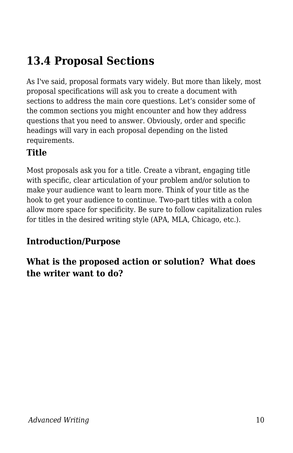## **13.4 Proposal Sections**

As I've said, proposal formats vary widely. But more than likely, most proposal specifications will ask you to create a document with sections to address the main core questions. Let's consider some of the common sections you might encounter and how they address questions that you need to answer. Obviously, order and specific headings will vary in each proposal depending on the listed requirements.

#### **Title**

Most proposals ask you for a title. Create a vibrant, engaging title with specific, clear articulation of your problem and/or solution to make your audience want to learn more. Think of your title as the hook to get your audience to continue. Two-part titles with a colon allow more space for specificity. Be sure to follow capitalization rules for titles in the desired writing style (APA, MLA, Chicago, etc.).

#### **Introduction/Purpose**

**What is the proposed action or solution? What does the writer want to do?**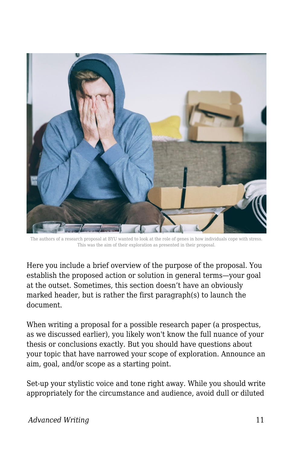

The authors of a research proposal at BYU wanted to look at the role of genes in how individuals cope with stress. This was the aim of their exploration as presented in their proposal.

Here you include a brief overview of the purpose of the proposal. You establish the proposed action or solution in general terms—your goal at the outset. Sometimes, this section doesn't have an obviously marked header, but is rather the first paragraph(s) to launch the document.

When writing a proposal for a possible research paper (a prospectus, as we discussed earlier), you likely won't know the full nuance of your thesis or conclusions exactly. But you should have questions about your topic that have narrowed your scope of exploration. Announce an aim, goal, and/or scope as a starting point.

Set-up your stylistic voice and tone right away. While you should write appropriately for the circumstance and audience, avoid dull or diluted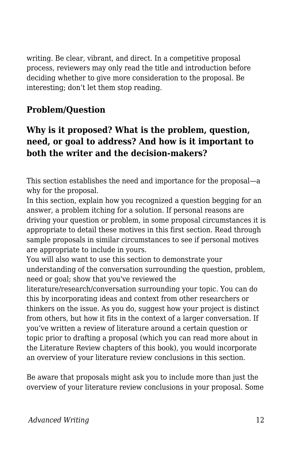writing. Be clear, vibrant, and direct. In a competitive proposal process, reviewers may only read the title and introduction before deciding whether to give more consideration to the proposal. Be interesting; don't let them stop reading.

#### **Problem/Question**

#### **Why is it proposed? What is the problem, question, need, or goal to address? And how is it important to both the writer and the decision-makers?**

This section establishes the need and importance for the proposal—a why for the proposal.

In this section, explain how you recognized a question begging for an answer, a problem itching for a solution. If personal reasons are driving your question or problem, in some proposal circumstances it is appropriate to detail these motives in this first section. Read through sample proposals in similar circumstances to see if personal motives are appropriate to include in yours.

You will also want to use this section to demonstrate your understanding of the conversation surrounding the question, problem, need or goal; show that you've reviewed the

literature/research/conversation surrounding your topic. You can do this by incorporating ideas and context from other researchers or thinkers on the issue. As you do, suggest how your project is distinct from others, but how it fits in the context of a larger conversation. If you've written a review of literature around a certain question or topic prior to drafting a proposal (which you can read more about in the Literature Review chapters of this book), you would incorporate an overview of your literature review conclusions in this section.

Be aware that proposals might ask you to include more than just the overview of your literature review conclusions in your proposal. Some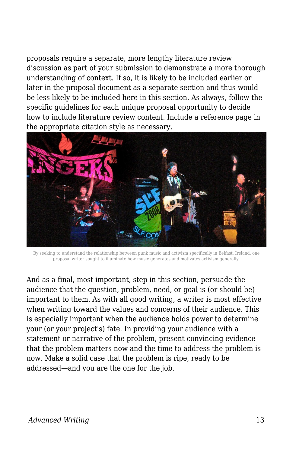proposals require a separate, more lengthy literature review discussion as part of your submission to demonstrate a more thorough understanding of context. If so, it is likely to be included earlier or later in the proposal document as a separate section and thus would be less likely to be included here in this section. As always, follow the specific guidelines for each unique proposal opportunity to decide how to include literature review content. Include a reference page in the appropriate citation style as necessary.



By seeking to understand the relationship between punk music and activism specifically in Belfast, Ireland, one proposal writer sought to illuminate how music generates and motivates activism generally.

And as a final, most important, step in this section, persuade the audience that the question, problem, need, or goal is (or should be) important to them. As with all good writing, a writer is most effective when writing toward the values and concerns of their audience. This is especially important when the audience holds power to determine your (or your project's) fate. In providing your audience with a statement or narrative of the problem, present convincing evidence that the problem matters now and the time to address the problem is now. Make a solid case that the problem is ripe, ready to be addressed—and you are the one for the job.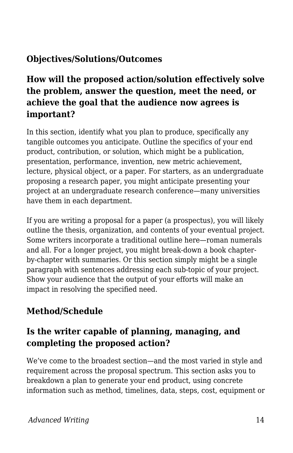#### **Objectives/Solutions/Outcomes**

#### **How will the proposed action/solution effectively solve the problem, answer the question, meet the need, or achieve the goal that the audience now agrees is important?**

In this section, identify what you plan to produce, specifically any tangible outcomes you anticipate. Outline the specifics of your end product, contribution, or solution, which might be a publication, presentation, performance, invention, new metric achievement, lecture, physical object, or a paper. For starters, as an undergraduate proposing a research paper, you might anticipate presenting your project at an undergraduate research conference—many universities have them in each department.

If you are writing a proposal for a paper (a prospectus), you will likely outline the thesis, organization, and contents of your eventual project. Some writers incorporate a traditional outline here—roman numerals and all. For a longer project, you might break-down a book chapterby-chapter with summaries. Or this section simply might be a single paragraph with sentences addressing each sub-topic of your project. Show your audience that the output of your efforts will make an impact in resolving the specified need.

#### **Method/Schedule**

#### **Is the writer capable of planning, managing, and completing the proposed action?**

We've come to the broadest section—and the most varied in style and requirement across the proposal spectrum. This section asks you to breakdown a plan to generate your end product, using concrete information such as method, timelines, data, steps, cost, equipment or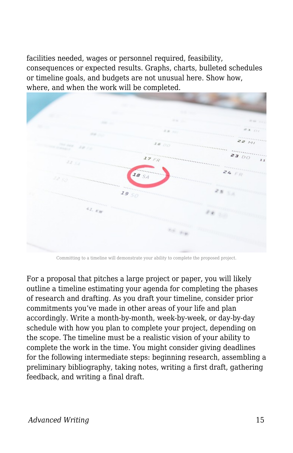facilities needed, wages or personnel required, feasibility, consequences or expected results. Graphs, charts, bulleted schedules or timeline goals, and budgets are not unusual here. Show how, where, and when the work will be completed.



Committing to a timeline will demonstrate your ability to complete the proposed project.

For a proposal that pitches a large project or paper, you will likely outline a timeline estimating your agenda for completing the phases of research and drafting. As you draft your timeline, consider prior commitments you've made in other areas of your life and plan accordingly. Write a month-by-month, week-by-week, or day-by-day schedule with how you plan to complete your project, depending on the scope. The timeline must be a realistic vision of your ability to complete the work in the time. You might consider giving deadlines for the following intermediate steps: beginning research, assembling a preliminary bibliography, taking notes, writing a first draft, gathering feedback, and writing a final draft.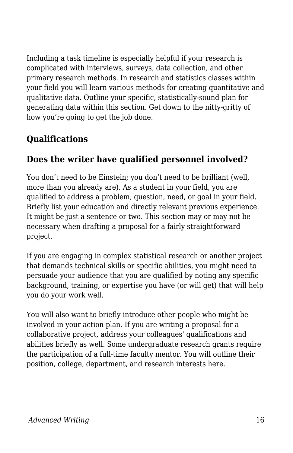Including a task timeline is especially helpful if your research is complicated with interviews, surveys, data collection, and other primary research methods. In research and statistics classes within your field you will learn various methods for creating quantitative and qualitative data. Outline your specific, statistically-sound plan for generating data within this section. Get down to the nitty-gritty of how you're going to get the job done.

#### **Qualifications**

#### **Does the writer have qualified personnel involved?**

You don't need to be Einstein; you don't need to be brilliant (well, more than you already are). As a student in your field, you are qualified to address a problem, question, need, or goal in your field. Briefly list your education and directly relevant previous experience. It might be just a sentence or two. This section may or may not be necessary when drafting a proposal for a fairly straightforward project.

If you are engaging in complex statistical research or another project that demands technical skills or specific abilities, you might need to persuade your audience that you are qualified by noting any specific background, training, or expertise you have (or will get) that will help you do your work well.

You will also want to briefly introduce other people who might be involved in your action plan. If you are writing a proposal for a collaborative project, address your colleagues' qualifications and abilities briefly as well. Some undergraduate research grants require the participation of a full-time faculty mentor. You will outline their position, college, department, and research interests here.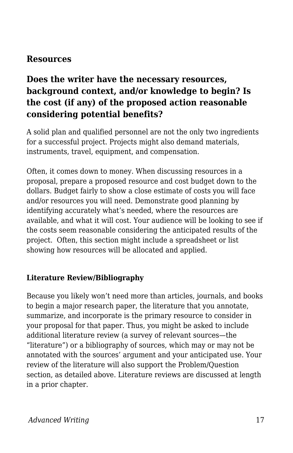#### **Resources**

#### **Does the writer have the necessary resources, background context, and/or knowledge to begin? Is the cost (if any) of the proposed action reasonable considering potential benefits?**

A solid plan and qualified personnel are not the only two ingredients for a successful project. Projects might also demand materials, instruments, travel, equipment, and compensation.

Often, it comes down to money. When discussing resources in a proposal, prepare a proposed resource and cost budget down to the dollars. Budget fairly to show a close estimate of costs you will face and/or resources you will need. Demonstrate good planning by identifying accurately what's needed, where the resources are available, and what it will cost. Your audience will be looking to see if the costs seem reasonable considering the anticipated results of the project. Often, this section might include a spreadsheet or list showing how resources will be allocated and applied.

#### **Literature Review/Bibliography**

Because you likely won't need more than articles, journals, and books to begin a major research paper, the literature that you annotate, summarize, and incorporate is the primary resource to consider in your proposal for that paper. Thus, you might be asked to include additional literature review (a survey of relevant sources—the "literature") or a bibliography of sources, which may or may not be annotated with the sources' argument and your anticipated use. Your review of the literature will also support the Problem/Question section, as detailed above. Literature reviews are discussed at length in a prior chapter.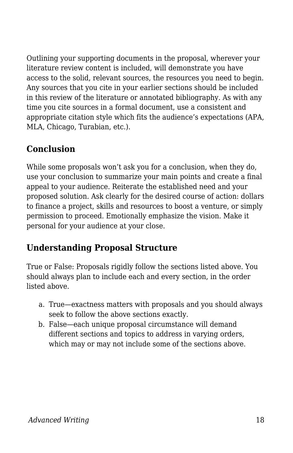Outlining your supporting documents in the proposal, wherever your literature review content is included, will demonstrate you have access to the solid, relevant sources, the resources you need to begin. Any sources that you cite in your earlier sections should be included in this review of the literature or annotated bibliography. As with any time you cite sources in a formal document, use a consistent and appropriate citation style which fits the audience's expectations (APA, MLA, Chicago, Turabian, etc.).

#### **Conclusion**

While some proposals won't ask you for a conclusion, when they do, use your conclusion to summarize your main points and create a final appeal to your audience. Reiterate the established need and your proposed solution. Ask clearly for the desired course of action: dollars to finance a project, skills and resources to boost a venture, or simply permission to proceed. Emotionally emphasize the vision. Make it personal for your audience at your close.

#### **Understanding Proposal Structure**

True or False: Proposals rigidly follow the sections listed above. You should always plan to include each and every section, in the order listed above.

- a. True—exactness matters with proposals and you should always seek to follow the above sections exactly.
- b. False—each unique proposal circumstance will demand different sections and topics to address in varying orders, which may or may not include some of the sections above.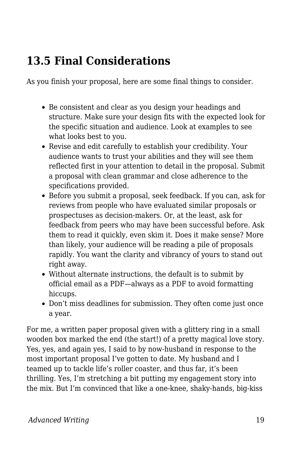## **13.5 Final Considerations**

As you finish your proposal, here are some final things to consider.

- Be consistent and clear as you design your headings and structure. Make sure your design fits with the expected look for the specific situation and audience. Look at examples to see what looks best to you.
- Revise and edit carefully to establish your credibility. Your audience wants to trust your abilities and they will see them reflected first in your attention to detail in the proposal. Submit a proposal with clean grammar and close adherence to the specifications provided.
- Before you submit a proposal, seek feedback. If you can, ask for reviews from people who have evaluated similar proposals or prospectuses as decision-makers. Or, at the least, ask for feedback from peers who may have been successful before. Ask them to read it quickly, even skim it. Does it make sense? More than likely, your audience will be reading a pile of proposals rapidly. You want the clarity and vibrancy of yours to stand out right away.
- Without alternate instructions, the default is to submit by official email as a PDF—always as a PDF to avoid formatting hiccups.
- Don't miss deadlines for submission. They often come just once a year.

For me, a written paper proposal given with a glittery ring in a small wooden box marked the end (the start!) of a pretty magical love story. Yes, yes, and again yes, I said to by now-husband in response to the most important proposal I've gotten to date. My husband and I teamed up to tackle life's roller coaster, and thus far, it's been thrilling. Yes, I'm stretching a bit putting my engagement story into the mix. But I'm convinced that like a one-knee, shaky-hands, big-kiss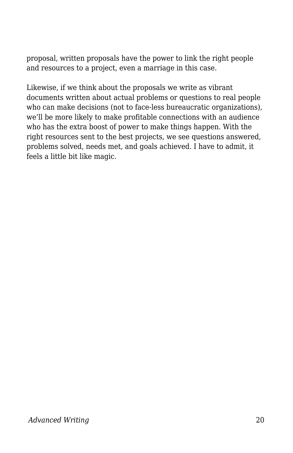proposal, written proposals have the power to link the right people and resources to a project, even a marriage in this case.

Likewise, if we think about the proposals we write as vibrant documents written about actual problems or questions to real people who can make decisions (not to face-less bureaucratic organizations), we'll be more likely to make profitable connections with an audience who has the extra boost of power to make things happen. With the right resources sent to the best projects, we see questions answered, problems solved, needs met, and goals achieved. I have to admit, it feels a little bit like magic.